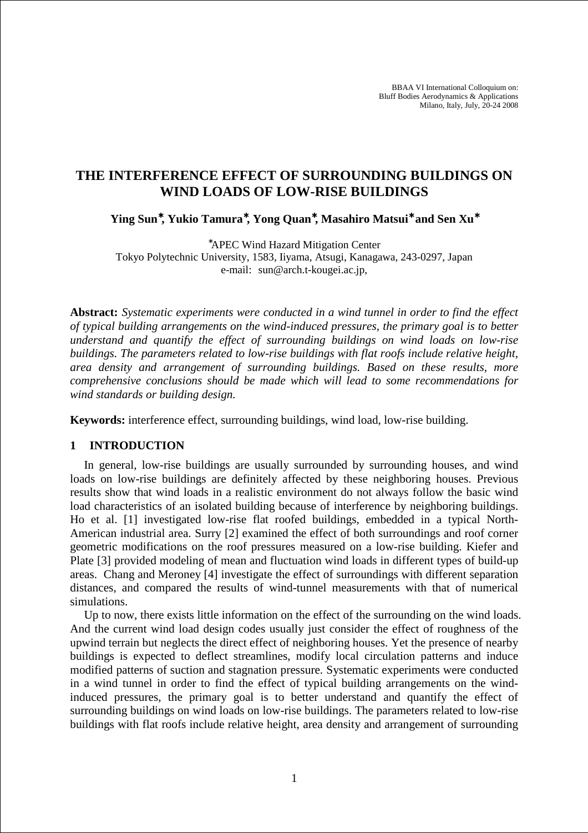BBAA VI International Colloquium on: Bluff Bodies Aerodynamics & Applications Milano, Italy, July, 20-24 2008

# **THE INTERFERENCE EFFECT OF SURROUNDING BUILDINGS ON WIND LOADS OF LOW-RISE BUILDINGS**

**Ying Sun**<sup>∗</sup>**, Yukio Tamura**<sup>∗</sup>**, Yong Quan**<sup>∗</sup>**, Masahiro Matsui**<sup>∗</sup> **and Sen Xu**<sup>∗</sup>

<sup>∗</sup>APEC Wind Hazard Mitigation Center Tokyo Polytechnic University, 1583, Iiyama, Atsugi, Kanagawa, 243-0297, Japan e-mail: sun@arch.t-kougei.ac.jp,

**Abstract:** *Systematic experiments were conducted in a wind tunnel in order to find the effect of typical building arrangements on the wind-induced pressures, the primary goal is to better understand and quantify the effect of surrounding buildings on wind loads on low-rise buildings. The parameters related to low-rise buildings with flat roofs include relative height, area density and arrangement of surrounding buildings. Based on these results, more comprehensive conclusions should be made which will lead to some recommendations for wind standards or building design.*

**Keywords:** interference effect, surrounding buildings, wind load, low-rise building.

### **1 INTRODUCTION**

In general, low-rise buildings are usually surrounded by surrounding houses, and wind loads on low-rise buildings are definitely affected by these neighboring houses. Previous results show that wind loads in a realistic environment do not always follow the basic wind load characteristics of an isolated building because of interference by neighboring buildings. Ho et al. [1] investigated low-rise flat roofed buildings, embedded in a typical North-American industrial area. Surry [2] examined the effect of both surroundings and roof corner geometric modifications on the roof pressures measured on a low-rise building. Kiefer and Plate [3] provided modeling of mean and fluctuation wind loads in different types of build-up areas. Chang and Meroney [4] investigate the effect of surroundings with different separation distances, and compared the results of wind-tunnel measurements with that of numerical simulations.

Up to now, there exists little information on the effect of the surrounding on the wind loads. And the current wind load design codes usually just consider the effect of roughness of the upwind terrain but neglects the direct effect of neighboring houses. Yet the presence of nearby buildings is expected to deflect streamlines, modify local circulation patterns and induce modified patterns of suction and stagnation pressure. Systematic experiments were conducted in a wind tunnel in order to find the effect of typical building arrangements on the windinduced pressures, the primary goal is to better understand and quantify the effect of surrounding buildings on wind loads on low-rise buildings. The parameters related to low-rise buildings with flat roofs include relative height, area density and arrangement of surrounding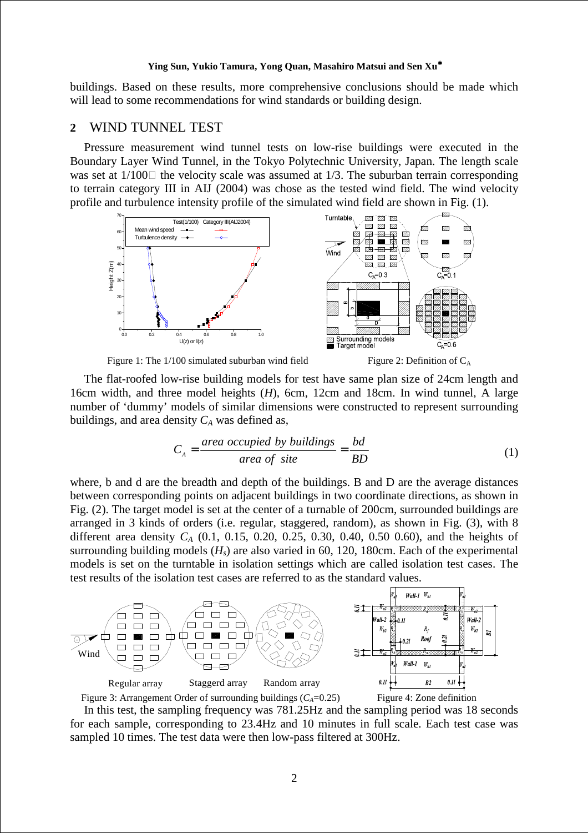#### **Ying Sun, Yukio Tamura, Yong Quan, Masahiro Matsui and Sen Xu**<sup>∗</sup>

buildings. Based on these results, more comprehensive conclusions should be made which will lead to some recommendations for wind standards or building design.

# **2** WIND TUNNEL TEST

Pressure measurement wind tunnel tests on low-rise buildings were executed in the Boundary Layer Wind Tunnel, in the Tokyo Polytechnic University, Japan. The length scale was set at  $1/100$  the velocity scale was assumed at  $1/3$ . The suburban terrain corresponding to terrain category III in AIJ (2004) was chose as the tested wind field. The wind velocity profile and turbulence intensity profile of the simulated wind field are shown in Fig. (1).



Figure 1: The 1/100 simulated suburban wind field Figure 2: Definition of  $C_A$ 

The flat-roofed low-rise building models for test have same plan size of 24cm length and 16cm width, and three model heights (*H*), 6cm, 12cm and 18cm. In wind tunnel, A large number of 'dummy' models of similar dimensions were constructed to represent surrounding buildings, and area density  $C_A$  was defined as,

$$
C_A = \frac{\text{area occupied by buildings}}{\text{area of site}} = \frac{bd}{BD} \tag{1}
$$

where, b and d are the breadth and depth of the buildings. B and D are the average distances between corresponding points on adjacent buildings in two coordinate directions, as shown in Fig. (2). The target model is set at the center of a turnable of 200cm, surrounded buildings are arranged in 3 kinds of orders (i.e. regular, staggered, random), as shown in Fig. (3), with 8 different area density *C<sup>A</sup>* (0.1, 0.15, 0.20, 0.25, 0.30, 0.40, 0.50 0.60), and the heights of surrounding building models  $(H_s)$  are also varied in 60, 120, 180cm. Each of the experimental models is set on the turntable in isolation settings which are called isolation test cases. The test results of the isolation test cases are referred to as the standard values.



In this test, the sampling frequency was 781.25Hz and the sampling period was 18 seconds for each sample, corresponding to 23.4Hz and 10 minutes in full scale. Each test case was sampled 10 times. The test data were then low-pass filtered at 300Hz.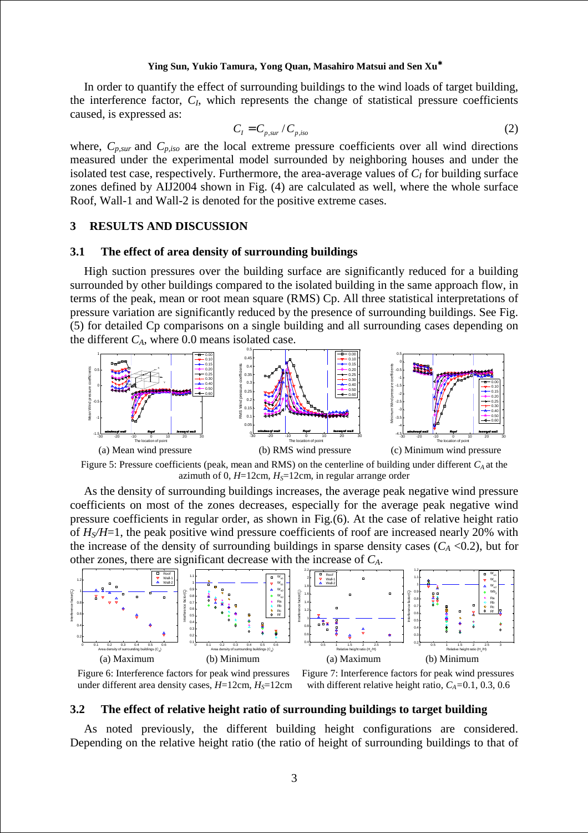#### **Ying Sun, Yukio Tamura, Yong Quan, Masahiro Matsui and Sen Xu**<sup>∗</sup>

In order to quantify the effect of surrounding buildings to the wind loads of target building, the interference factor, *C<sup>I</sup>* , which represents the change of statistical pressure coefficients caused, is expressed as:

$$
C_I = C_{p,sur} / C_{p,iso} \tag{2}
$$

where,  $C_{p,sur}$  and  $C_{p,iso}$  are the local extreme pressure coefficients over all wind directions measured under the experimental model surrounded by neighboring houses and under the isolated test case, respectively. Furthermore, the area-average values of  $C_I$  for building surface zones defined by AIJ2004 shown in Fig. (4) are calculated as well, where the whole surface Roof, Wall-1 and Wall-2 is denoted for the positive extreme cases.

# **3 RESULTS AND DISCUSSION**

#### **3.1 The effect of area density of surrounding buildings**

High suction pressures over the building surface are significantly reduced for a building surrounded by other buildings compared to the isolated building in the same approach flow, in terms of the peak, mean or root mean square (RMS) Cp. All three statistical interpretations of pressure variation are significantly reduced by the presence of surrounding buildings. See Fig. (5) for detailed Cp comparisons on a single building and all surrounding cases depending on the different  $C_A$ , where 0.0 means isolated case.



Figure 5: Pressure coefficients (peak, mean and RMS) on the centerline of building under different *CA* at the azimuth of 0,  $H=12$ cm,  $H<sub>S</sub>=12$ cm, in regular arrange order

As the density of surrounding buildings increases, the average peak negative wind pressure coefficients on most of the zones decreases, especially for the average peak negative wind pressure coefficients in regular order, as shown in Fig.(6). At the case of relative height ratio of *HS/H*=1, the peak positive wind pressure coefficients of roof are increased nearly 20% with the increase of the density of surrounding buildings in sparse density cases  $(C_A < 0.2)$ , but for other zones, there are significant decrease with the increase of *CA*.



under different area density cases,  $H=12$ cm,  $H<sub>S</sub>=12$ cm with different relative height ratio,  $C<sub>A</sub>=0.1$ , 0.3, 0.6

Figure 6: Interference factors for peak wind pressures Figure 7: Interference factors for peak wind pressures

#### **3.2 The effect of relative height ratio of surrounding buildings to target building**

As noted previously, the different building height configurations are considered. Depending on the relative height ratio (the ratio of height of surrounding buildings to that of